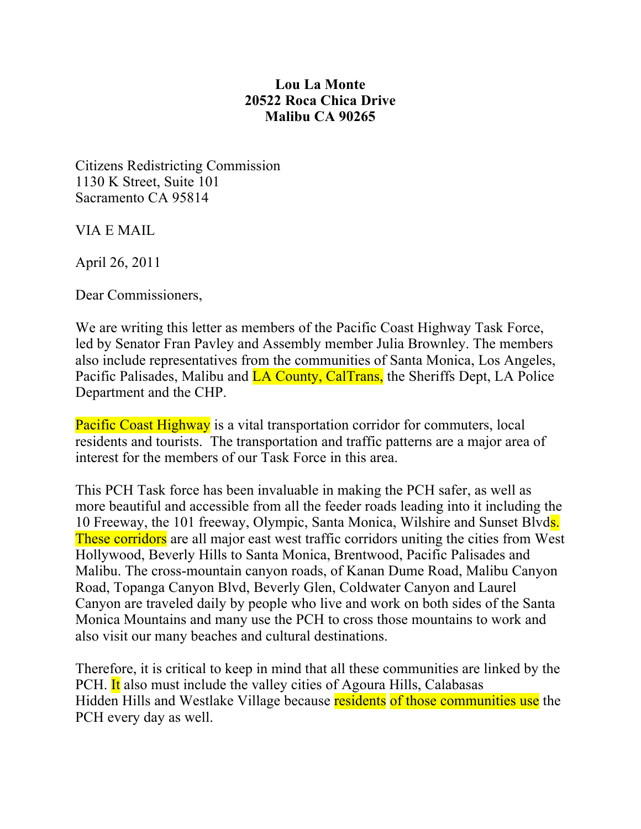## **Lou La Monte Malibu CA 90265 20522 Roca Chica Drive**

Citizens Redistricting Commission 1130 K Street, Suite 101 Sacramento CA 95814

VIA E MAIL

April 26, 2011

Dear Commissioners,

 We are writing this letter as members of the Pacific Coast Highway Task Force, led by Senator Fran Pavley and Assembly member Julia Brownley. The members Pacific Palisades, Malibu and **LA County, CalTrans,** the Sheriffs Dept, LA Police Department and the CHP. also include representatives from the communities of Santa Monica, Los Angeles,

Pacific Coast Highway is a vital transportation corridor for commuters, local residents and tourists. The transportation and traffic patterns are a major area of interest for the members of our Task Force in this area.

 This PCH Task force has been invaluable in making the PCH safer, as well as more beautiful and accessible from all the feeder roads leading into it including the 10 Freeway, the 101 freeway, Olympic, Santa Monica, Wilshire and Sunset Blvds. These corridors are all major east west traffic corridors uniting the cities from West Hollywood, Beverly Hills to Santa Monica, Brentwood, Pacific Palisades and Malibu. The cross-mountain canyon roads, of Kanan Dume Road, Malibu Canyon Road, Topanga Canyon Blvd, Beverly Glen, Coldwater Canyon and Laurel Canyon are traveled daily by people who live and work on both sides of the Santa Monica Mountains and many use the PCH to cross those mountains to work and also visit our many beaches and cultural destinations.

 Therefore, it is critical to keep in mind that all these communities are linked by the PCH. It also must include the valley cities of Agoura Hills, Calabasas Hidden Hills and Westlake Village because residents of those communities use the PCH every day as well.